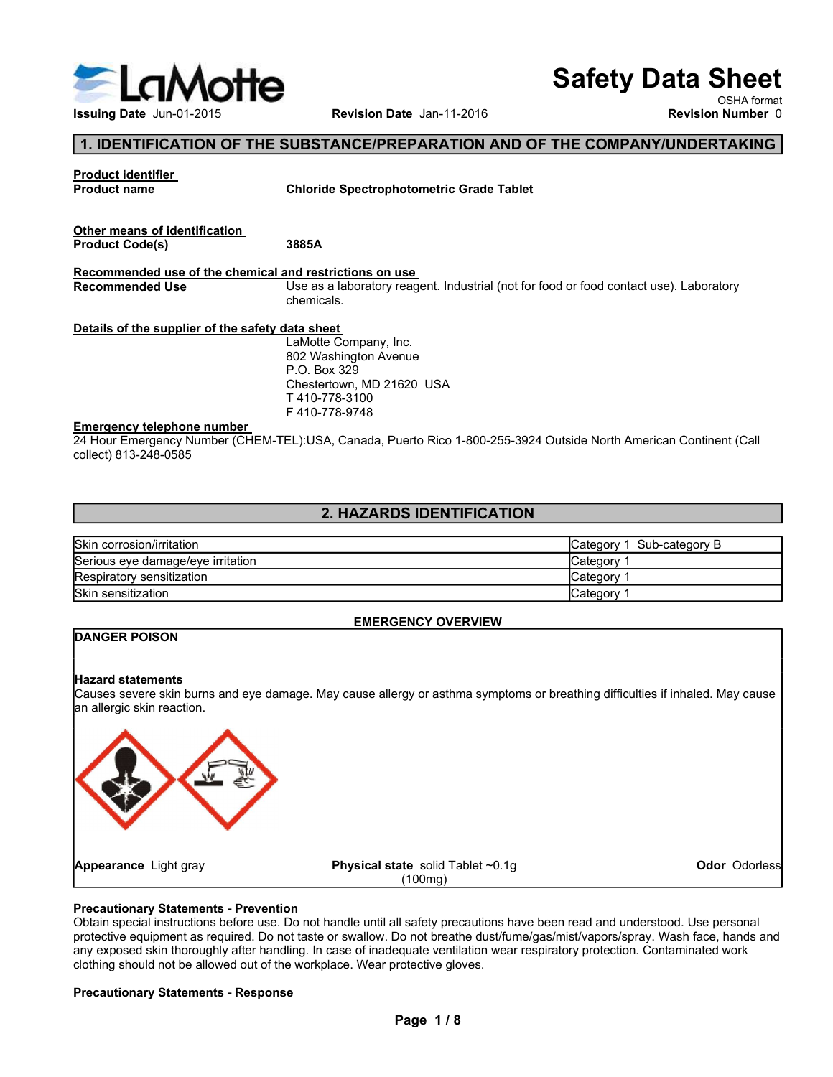

## 1. IDENTIFICATION OF THE SUBSTANCE/PREPARATION AND OF THE COMPANY/UNDERTAKING

|                                                            |                                                                                                                    | <b>Safety Data Sheet</b>     |                          |
|------------------------------------------------------------|--------------------------------------------------------------------------------------------------------------------|------------------------------|--------------------------|
| ELaMotte                                                   |                                                                                                                    |                              | OSHA format              |
| Issuing Date Jun-01-2015                                   | Revision Date Jan-11-2016                                                                                          |                              | <b>Revision Number 0</b> |
|                                                            | 1. IDENTIFICATION OF THE SUBSTANCE/PREPARATION AND OF THE COMPANY/UNDERTAKING                                      |                              |                          |
| <b>Product identifier</b>                                  |                                                                                                                    |                              |                          |
| <b>Product name</b>                                        | <b>Chloride Spectrophotometric Grade Tablet</b>                                                                    |                              |                          |
|                                                            |                                                                                                                    |                              |                          |
| Other means of identification<br><b>Product Code(s)</b>    | 3885A                                                                                                              |                              |                          |
| Recommended use of the chemical and restrictions on use    |                                                                                                                    |                              |                          |
| <b>Recommended Use</b>                                     | Use as a laboratory reagent. Industrial (not for food or food contact use). Laboratory                             |                              |                          |
|                                                            | chemicals.                                                                                                         |                              |                          |
| Details of the supplier of the safety data sheet           |                                                                                                                    |                              |                          |
|                                                            | LaMotte Company, Inc.<br>802 Washington Avenue                                                                     |                              |                          |
|                                                            | P.O. Box 329                                                                                                       |                              |                          |
|                                                            | Chestertown, MD 21620 USA<br>T410-778-3100                                                                         |                              |                          |
|                                                            | F410-778-9748                                                                                                      |                              |                          |
| <b>Emergency telephone number</b><br>collect) 813-248-0585 | 24 Hour Emergency Number (CHEM-TEL):USA, Canada, Puerto Rico 1-800-255-3924 Outside North American Continent (Call |                              |                          |
|                                                            |                                                                                                                    |                              |                          |
|                                                            | 2. HAZARDS IDENTIFICATION                                                                                          |                              |                          |
| Skin corrosion/irritation                                  |                                                                                                                    | Sub-category B<br>Category 1 |                          |
| Serious eye damage/eye irritation                          |                                                                                                                    | Category 1                   |                          |
| Respiratory sensitization                                  |                                                                                                                    | Category 1                   |                          |
| Skin sensitization                                         |                                                                                                                    | Category 1                   |                          |
|                                                            |                                                                                                                    |                              |                          |
|                                                            | <b>EMERGENCY OVERVIEW</b>                                                                                          |                              |                          |

## 2. HAZARDS IDENTIFICATION

| Skin corrosion/irritation         | 1 Sub-category B<br>∎Category <sup>∍</sup> |
|-----------------------------------|--------------------------------------------|
| Serious eye damage/eye irritation | <b>Category</b>                            |
| Respiratory sensitization         | <b>Category</b>                            |
| <b>Skin sensitization</b>         | Category                                   |

## EMERGENCY OVERVIEW

## DANGER POISON

## Hazard statements

Causes severe skin burns and eye damage. May cause allergy or asthma symptoms or breathing difficulties if inhaled. May cause an allergic skin reaction.



## Precautionary Statements - Prevention

Obtain special instructions before use. Do not handle until all safety precautions have been read and understood. Use personal protective equipment as required. Do not taste or swallow. Do not breathe dust/fume/gas/mist/vapors/spray. Wash face, hands and any exposed skin thoroughly after handling. In case of inadequate ventilation wear respiratory protection. Contaminated work clothing should not be allowed out of the workplace. Wear protective gloves.

## Precautionary Statements - Response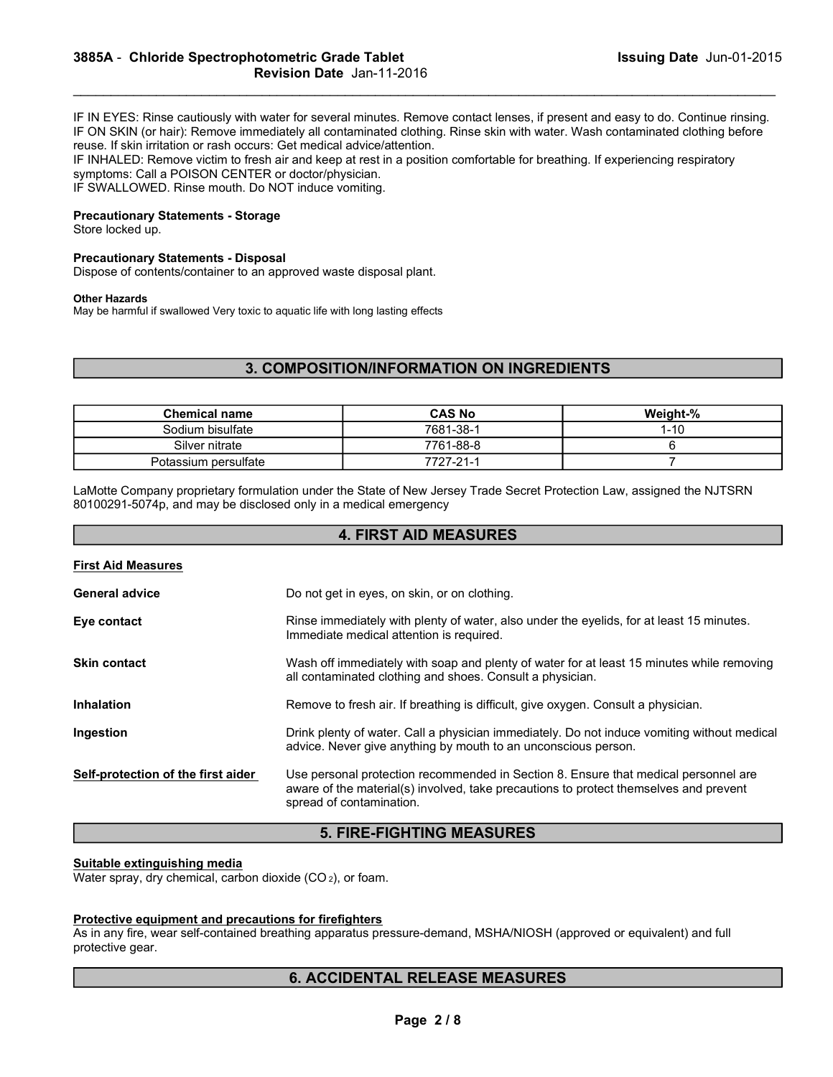IF IN EYES: Rinse cautiously with water for several minutes. Remove contact lenses, if present and easy to do. Continue rinsing. IF ON SKIN (or hair): Remove immediately all contaminated clothing. Rinse skin with water. Wash contaminated clothing before reuse. If skin irritation or rash occurs: Get medical advice/attention. 3885A - Chloride Spectrophotometric Grade Tablet<br>
Revision Date Jan-11-2016<br>
IF IN EYES: Rinse cautiously with water for several minutes. Remove contact lenses, if present and easy to do. Continue rinsing.<br>
IF ON SKIN (or

## Precautionary Statements - Storage

#### Precautionary Statements - Disposal

#### Other Hazards

First Aid Measures

## 3. COMPOSITION/INFORMATION ON INGREDIENTS

| <b>Revision Date Jan-11-2016</b>                                                                                                                                                                                                                                                                                                                                                                                                                                                                                                                                                         | 3005A - Chionue Spectrophotometric Graue Tablet  | <b>ISSUING Date</b> Jun-01-2015 |
|------------------------------------------------------------------------------------------------------------------------------------------------------------------------------------------------------------------------------------------------------------------------------------------------------------------------------------------------------------------------------------------------------------------------------------------------------------------------------------------------------------------------------------------------------------------------------------------|--------------------------------------------------|---------------------------------|
| IF IN EYES: Rinse cautiously with water for several minutes. Remove contact lenses, if present and easy to do. Continue rinsing.<br>IF ON SKIN (or hair): Remove immediately all contaminated clothing. Rinse skin with water. Wash contaminated clothing before<br>reuse. If skin irritation or rash occurs: Get medical advice/attention.<br>IF INHALED: Remove victim to fresh air and keep at rest in a position comfortable for breathing. If experiencing respiratory<br>symptoms: Call a POISON CENTER or doctor/physician.<br>IF SWALLOWED. Rinse mouth. Do NOT induce vomiting. |                                                  |                                 |
| <b>Precautionary Statements - Storage</b><br>Store locked up.                                                                                                                                                                                                                                                                                                                                                                                                                                                                                                                            |                                                  |                                 |
| <b>Precautionary Statements - Disposal</b><br>Dispose of contents/container to an approved waste disposal plant.                                                                                                                                                                                                                                                                                                                                                                                                                                                                         |                                                  |                                 |
| <b>Other Hazards</b><br>May be harmful if swallowed Very toxic to aquatic life with long lasting effects                                                                                                                                                                                                                                                                                                                                                                                                                                                                                 |                                                  |                                 |
|                                                                                                                                                                                                                                                                                                                                                                                                                                                                                                                                                                                          | <b>3. COMPOSITION/INFORMATION ON INGREDIENTS</b> |                                 |
|                                                                                                                                                                                                                                                                                                                                                                                                                                                                                                                                                                                          |                                                  |                                 |
| <b>Chemical name</b>                                                                                                                                                                                                                                                                                                                                                                                                                                                                                                                                                                     | <b>CAS No</b>                                    | Weight-%                        |
|                                                                                                                                                                                                                                                                                                                                                                                                                                                                                                                                                                                          | 7681-38-1                                        | $1 - 10$<br>6                   |
| Sodium bisulfate                                                                                                                                                                                                                                                                                                                                                                                                                                                                                                                                                                         |                                                  |                                 |
| Silver nitrate<br>Potassium persulfate                                                                                                                                                                                                                                                                                                                                                                                                                                                                                                                                                   | 7761-88-8<br>7727-21-1                           | $\overline{7}$                  |

get in eyes, on skin, or on clothing.

## 4. FIRST AID MEASURES

| .                     |        |
|-----------------------|--------|
| <b>General advice</b> | Do not |
|                       |        |

|                                                                                                        | Page 2/8                                                                                                                                                                                                 |
|--------------------------------------------------------------------------------------------------------|----------------------------------------------------------------------------------------------------------------------------------------------------------------------------------------------------------|
|                                                                                                        | <b>6. ACCIDENTAL RELEASE MEASURES</b>                                                                                                                                                                    |
| Protective equipment and precautions for firefighters<br>protective gear.                              | As in any fire, wear self-contained breathing apparatus pressure-demand, MSHA/NIOSH (approved or equivalent) and full                                                                                    |
| Suitable extinguishing media<br>Water spray, dry chemical, carbon dioxide (CO <sub>2</sub> ), or foam. |                                                                                                                                                                                                          |
|                                                                                                        | <b>5. FIRE-FIGHTING MEASURES</b>                                                                                                                                                                         |
| Self-protection of the first aider                                                                     | Use personal protection recommended in Section 8. Ensure that medical personnel are<br>aware of the material(s) involved, take precautions to protect themselves and prevent<br>spread of contamination. |
| Ingestion                                                                                              | Drink plenty of water. Call a physician immediately. Do not induce vomiting without medical<br>advice. Never give anything by mouth to an unconscious person.                                            |
| <b>Inhalation</b>                                                                                      | Remove to fresh air. If breathing is difficult, give oxygen. Consult a physician.                                                                                                                        |
| <b>Skin contact</b>                                                                                    | Wash off immediately with soap and plenty of water for at least 15 minutes while removing<br>all contaminated clothing and shoes. Consult a physician.                                                   |
| Eye contact                                                                                            | Rinse immediately with plenty of water, also under the eyelids, for at least 15 minutes.<br>Immediate medical attention is required.                                                                     |

## 5. FIRE-FIGHTING MEASURES

#### Suitable extinguishing media

#### Protective equipment and precautions for firefighters

## 6. ACCIDENTAL RELEASE MEASURES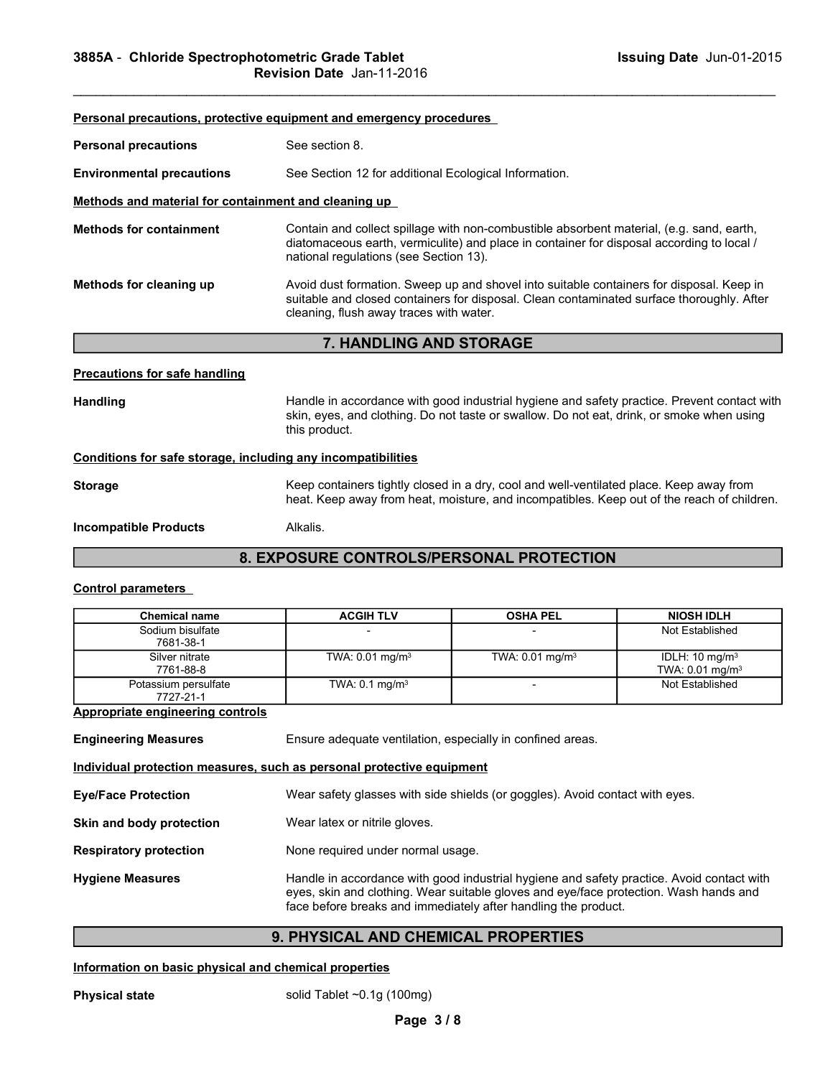| 3885A - Chloride Spectrophotometric Grade Tablet                                         | Issuing Date Jun-01-2015<br>Revision Date Jan-11-2016                                                                                                                                                                            |
|------------------------------------------------------------------------------------------|----------------------------------------------------------------------------------------------------------------------------------------------------------------------------------------------------------------------------------|
|                                                                                          |                                                                                                                                                                                                                                  |
| <b>Personal precautions</b>                                                              | Personal precautions, protective equipment and emergency procedures<br>See section 8.                                                                                                                                            |
|                                                                                          | See Section 12 for additional Ecological Information.                                                                                                                                                                            |
| <b>Environmental precautions</b><br>Methods and material for containment and cleaning up |                                                                                                                                                                                                                                  |
| <b>Methods for containment</b>                                                           | Contain and collect spillage with non-combustible absorbent material, (e.g. sand, earth,<br>diatomaceous earth, vermiculite) and place in container for disposal according to local /<br>national regulations (see Section 13).  |
| Methods for cleaning up                                                                  | Avoid dust formation. Sweep up and shovel into suitable containers for disposal. Keep in<br>suitable and closed containers for disposal. Clean contaminated surface thoroughly. After<br>cleaning, flush away traces with water. |

## Precautions for safe handling

## Conditions for safe storage, including any incompatibilities

## 8. EXPOSURE CONTROLS/PERSONAL PROTECTION

## Control parameters

|                                                                       | <b>Hational regulations (See Occiton To).</b>                                                                                                                                                                                                        |                             |                                                           |
|-----------------------------------------------------------------------|------------------------------------------------------------------------------------------------------------------------------------------------------------------------------------------------------------------------------------------------------|-----------------------------|-----------------------------------------------------------|
| Methods for cleaning up                                               | Avoid dust formation. Sweep up and shovel into suitable containers for disposal. Keep in<br>suitable and closed containers for disposal. Clean contaminated surface thoroughly. After<br>cleaning, flush away traces with water.                     |                             |                                                           |
|                                                                       | 7. HANDLING AND STORAGE                                                                                                                                                                                                                              |                             |                                                           |
| <b>Precautions for safe handling</b>                                  |                                                                                                                                                                                                                                                      |                             |                                                           |
| Handling                                                              | Handle in accordance with good industrial hygiene and safety practice. Prevent contact with<br>skin, eyes, and clothing. Do not taste or swallow. Do not eat, drink, or smoke when using<br>this product.                                            |                             |                                                           |
| Conditions for safe storage, including any incompatibilities          |                                                                                                                                                                                                                                                      |                             |                                                           |
| <b>Storage</b>                                                        | Keep containers tightly closed in a dry, cool and well-ventilated place. Keep away from<br>heat. Keep away from heat, moisture, and incompatibles. Keep out of the reach of children.                                                                |                             |                                                           |
| <b>Incompatible Products</b>                                          | Alkalis.                                                                                                                                                                                                                                             |                             |                                                           |
|                                                                       | 8. EXPOSURE CONTROLS/PERSONAL PROTECTION                                                                                                                                                                                                             |                             |                                                           |
| <b>Control parameters</b>                                             |                                                                                                                                                                                                                                                      |                             |                                                           |
| <b>Chemical name</b>                                                  | <b>ACGIH TLV</b>                                                                                                                                                                                                                                     | <b>OSHA PEL</b>             | <b>NIOSH IDLH</b>                                         |
| Sodium bisulfate<br>7681-38-1                                         |                                                                                                                                                                                                                                                      |                             | Not Established                                           |
| Silver nitrate<br>7761-88-8                                           | TWA: 0.01 mg/m <sup>3</sup>                                                                                                                                                                                                                          | TWA: 0.01 mg/m <sup>3</sup> | IDLH: 10 mg/m <sup>3</sup><br>TWA: 0.01 mg/m <sup>3</sup> |
| Potassium persulfate<br>7727-21-1                                     | TWA: $0.1 \text{ mg/m}^3$                                                                                                                                                                                                                            | $\blacksquare$              | Not Established                                           |
| <b>Appropriate engineering controls</b>                               |                                                                                                                                                                                                                                                      |                             |                                                           |
| <b>Engineering Measures</b>                                           | Ensure adequate ventilation, especially in confined areas.                                                                                                                                                                                           |                             |                                                           |
| Individual protection measures, such as personal protective equipment |                                                                                                                                                                                                                                                      |                             |                                                           |
| <b>Eye/Face Protection</b>                                            | Wear safety glasses with side shields (or goggles). Avoid contact with eyes.                                                                                                                                                                         |                             |                                                           |
| Skin and body protection                                              | Wear latex or nitrile gloves.                                                                                                                                                                                                                        |                             |                                                           |
| <b>Respiratory protection</b>                                         | None required under normal usage.                                                                                                                                                                                                                    |                             |                                                           |
| <b>Hygiene Measures</b>                                               | Handle in accordance with good industrial hygiene and safety practice. Avoid contact with<br>eyes, skin and clothing. Wear suitable gloves and eye/face protection. Wash hands and<br>face before breaks and immediately after handling the product. |                             |                                                           |
|                                                                       | 9. PHYSICAL AND CHEMICAL PROPERTIES                                                                                                                                                                                                                  |                             |                                                           |
| Information on basic physical and chemical properties                 |                                                                                                                                                                                                                                                      |                             |                                                           |
| <b>Physical state</b>                                                 | solid Tablet $\sim 0.1g(100mg)$                                                                                                                                                                                                                      |                             |                                                           |
|                                                                       | Page 3/8                                                                                                                                                                                                                                             |                             |                                                           |
|                                                                       |                                                                                                                                                                                                                                                      |                             |                                                           |
|                                                                       |                                                                                                                                                                                                                                                      |                             |                                                           |

## 9. PHYSICAL AND CHEMICAL PROPERTIES

## Information on basic physical and chemical properties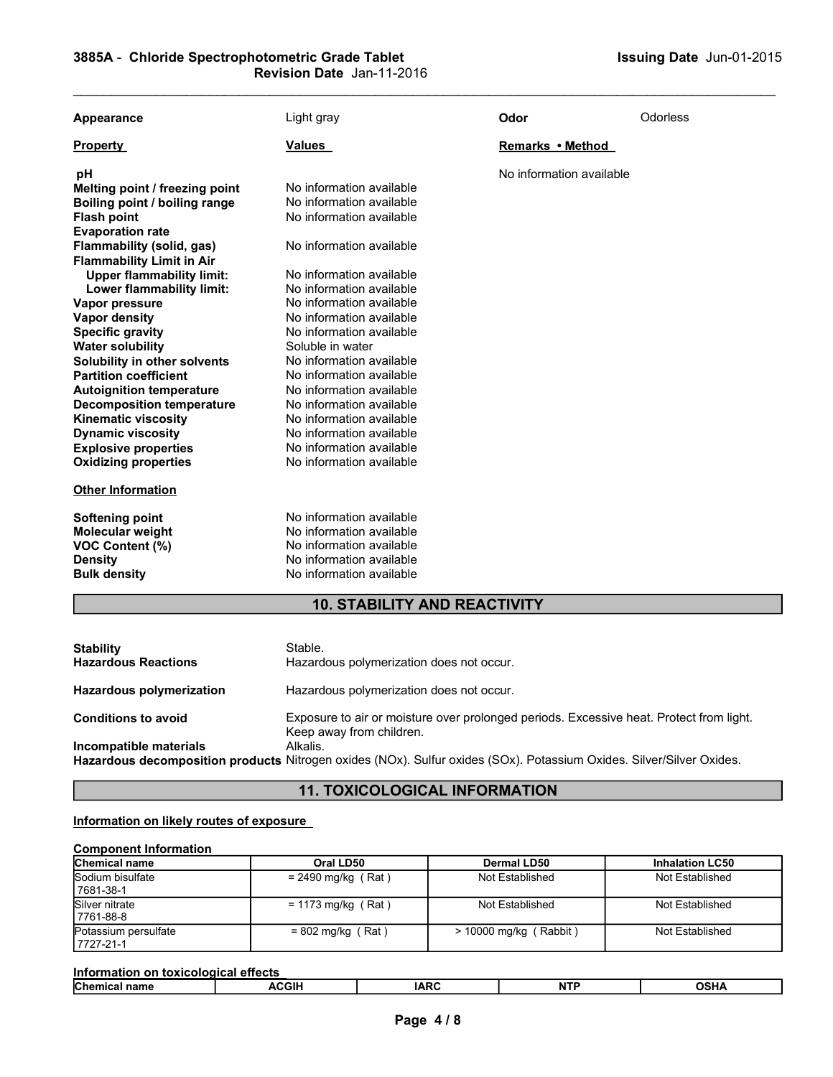| Appearance                       | Light gray                          | Odor                     | Odorless |  |
|----------------------------------|-------------------------------------|--------------------------|----------|--|
| <b>Property</b>                  | Values                              | Remarks • Method         |          |  |
| pH                               |                                     | No information available |          |  |
| Melting point / freezing point   | No information available            |                          |          |  |
| Boiling point / boiling range    | No information available            |                          |          |  |
| <b>Flash point</b>               | No information available            |                          |          |  |
| <b>Evaporation rate</b>          |                                     |                          |          |  |
| Flammability (solid, gas)        | No information available            |                          |          |  |
| <b>Flammability Limit in Air</b> |                                     |                          |          |  |
| <b>Upper flammability limit:</b> | No information available            |                          |          |  |
| Lower flammability limit:        | No information available            |                          |          |  |
| Vapor pressure                   | No information available            |                          |          |  |
| <b>Vapor density</b>             | No information available            |                          |          |  |
| <b>Specific gravity</b>          | No information available            |                          |          |  |
| <b>Water solubility</b>          | Soluble in water                    |                          |          |  |
| Solubility in other solvents     | No information available            |                          |          |  |
| <b>Partition coefficient</b>     | No information available            |                          |          |  |
| <b>Autoignition temperature</b>  | No information available            |                          |          |  |
| <b>Decomposition temperature</b> | No information available            |                          |          |  |
| <b>Kinematic viscosity</b>       | No information available            |                          |          |  |
| <b>Dynamic viscosity</b>         | No information available            |                          |          |  |
| <b>Explosive properties</b>      | No information available            |                          |          |  |
| <b>Oxidizing properties</b>      | No information available            |                          |          |  |
| <b>Other Information</b>         |                                     |                          |          |  |
| Softening point                  | No information available            |                          |          |  |
| <b>Molecular weight</b>          | No information available            |                          |          |  |
| <b>VOC Content (%)</b>           | No information available            |                          |          |  |
| <b>Density</b>                   | No information available            |                          |          |  |
| <b>Bulk density</b>              | No information available            |                          |          |  |
|                                  | <b>10. STABILITY AND REACTIVITY</b> |                          |          |  |

| No information available<br>VOC Content (%)<br>No information available<br><b>Density</b><br>No information available<br><b>Bulk density</b><br><b>10. STABILITY AND REACTIVITY</b><br>Stable.<br>Hazardous polymerization does not occur. |  |
|--------------------------------------------------------------------------------------------------------------------------------------------------------------------------------------------------------------------------------------------|--|
| <b>Hazardous Reactions</b>                                                                                                                                                                                                                 |  |
| <b>Stability</b>                                                                                                                                                                                                                           |  |
|                                                                                                                                                                                                                                            |  |
| Hazardous polymerization does not occur.<br><b>Hazardous polymerization</b>                                                                                                                                                                |  |
| Exposure to air or moisture over prolonged periods. Excessive heat. Protect from light.<br><b>Conditions to avoid</b><br>Keep away from children.                                                                                          |  |
| Alkalis.<br>Incompatible materials<br>Hazardous decomposition products Nitrogen oxides (NOx). Sulfur oxides (SOx). Potassium Oxides. Silver/Silver Oxides.                                                                                 |  |
| <b>11. TOXICOLOGICAL INFORMATION</b>                                                                                                                                                                                                       |  |
| Information on likely routes of exposure                                                                                                                                                                                                   |  |
| <b>Component Information</b><br>Chemical name<br>Oral LD50<br><b>Dermal LD50</b><br><b>Inhalation LC50</b>                                                                                                                                 |  |
| Sodium bisulfate<br>$= 2490$ mg/kg (Rat)<br>Not Established<br>Not Established<br>7681-38-1                                                                                                                                                |  |
| Silver nitrate<br>$= 1173$ mg/kg (Rat)<br>Not Established<br>Not Established<br>7761-88-8                                                                                                                                                  |  |
| Potassium persulfate<br>$= 802$ mg/kg (Rat)<br>> 10000 mg/kg (Rabbit)<br>Not Established<br>7727-21-1                                                                                                                                      |  |
| Information on toxicological effects                                                                                                                                                                                                       |  |
| Chemical name<br><b>ACGIH</b><br><b>IARC</b><br><b>NTP</b><br><b>OSHA</b>                                                                                                                                                                  |  |
| Page 4/8                                                                                                                                                                                                                                   |  |
|                                                                                                                                                                                                                                            |  |
|                                                                                                                                                                                                                                            |  |

## **11. TOXICOLOGICAL INFORMATION**

## Information on likely routes of exposure

## Component Information

| <b>Chemical name</b>               | Oral LD50            | Dermal LD50              | <b>Inhalation LC50</b> |
|------------------------------------|----------------------|--------------------------|------------------------|
| Sodium bisulfate<br>7681-38-1      | $= 2490$ mg/kg (Rat) | Not Established          | Not Established        |
| Silver nitrate<br>l 7761-88-8      | $= 1173$ mg/kg (Rat) | Not Established          | Not Established        |
| Potassium persulfate<br>17727-21-1 | $= 802$ mg/kg (Rat)  | $>$ 10000 mg/kg (Rabbit) | Not Established        |

| Information on toxicological effects |              |      |    |             |
|--------------------------------------|--------------|------|----|-------------|
| <b>Chemical name</b>                 | <b>ACGIH</b> | IARC | NΤ | <b>OSHA</b> |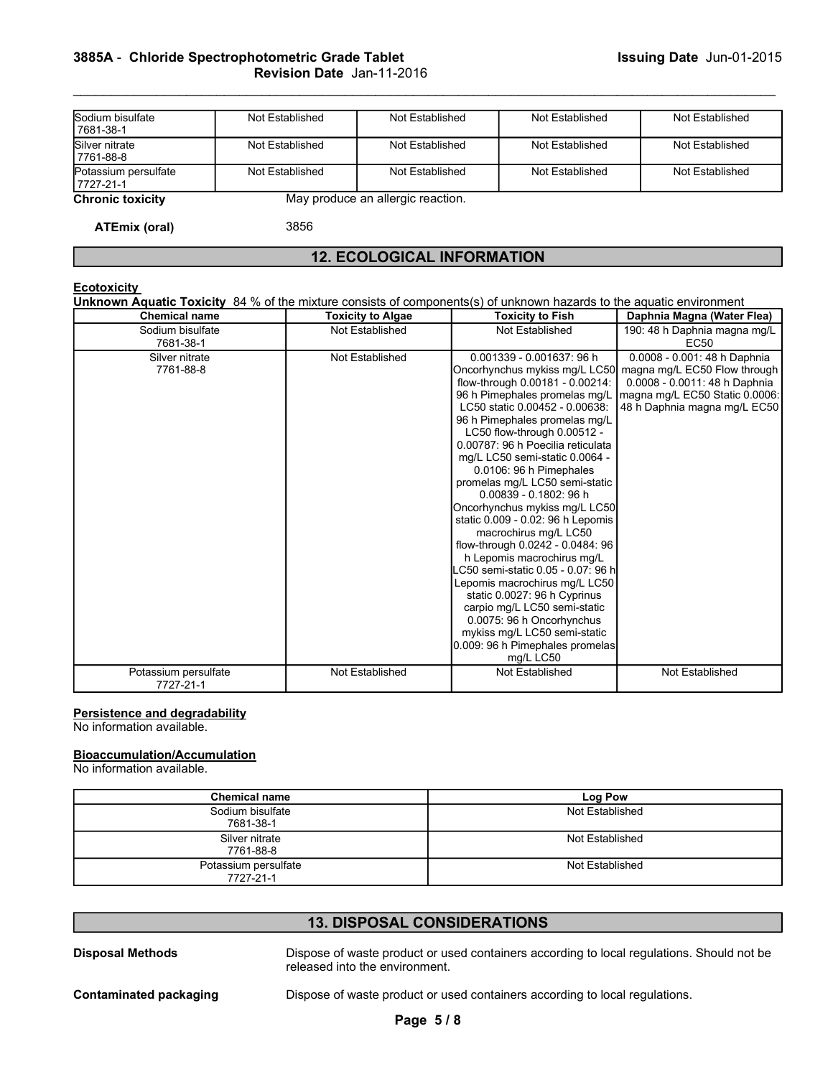# Revision Date Jan-11-2016

|                                                | 3885A - Chloride Spectrophotometric Grade Tablet<br>Revision Date Jan-11-2016 |                                   |                 | Issuing Date Jun-01-2015 |
|------------------------------------------------|-------------------------------------------------------------------------------|-----------------------------------|-----------------|--------------------------|
| Sodium bisulfate                               | Not Established                                                               | Not Established                   | Not Established | Not Established          |
| 7681-38-1<br>Silver nitrate                    | Not Established                                                               | Not Established                   | Not Established | Not Established          |
| 7761-88-8<br>Potassium persulfate<br>7727-21-1 | Not Established                                                               | Not Established                   | Not Established | Not Established          |
| <b>Chronic toxicity</b>                        |                                                                               | May produce an allergic reaction. |                 |                          |
| <b>ATEmix (oral)</b>                           | 3856                                                                          |                                   |                 |                          |

## 12. ECOLOGICAL INFORMATION

## **Ecotoxicity**

| Sodium bisulfate<br>7681-38-1                                                                                         | Not Established                                                                                                      | Not Established                   | Not Established                                                                                                                                                                                                                                                                                                                                                                                                                                                                                                                                                                                                                                                                                                                                                                                           |                                   | Not Established                                                                                                                                    |
|-----------------------------------------------------------------------------------------------------------------------|----------------------------------------------------------------------------------------------------------------------|-----------------------------------|-----------------------------------------------------------------------------------------------------------------------------------------------------------------------------------------------------------------------------------------------------------------------------------------------------------------------------------------------------------------------------------------------------------------------------------------------------------------------------------------------------------------------------------------------------------------------------------------------------------------------------------------------------------------------------------------------------------------------------------------------------------------------------------------------------------|-----------------------------------|----------------------------------------------------------------------------------------------------------------------------------------------------|
| Silver nitrate<br>7761-88-8                                                                                           | Not Established                                                                                                      | Not Established                   | Not Established                                                                                                                                                                                                                                                                                                                                                                                                                                                                                                                                                                                                                                                                                                                                                                                           |                                   | Not Established                                                                                                                                    |
| Potassium persulfate<br>7727-21-1                                                                                     | Not Established                                                                                                      | Not Established                   | Not Established                                                                                                                                                                                                                                                                                                                                                                                                                                                                                                                                                                                                                                                                                                                                                                                           |                                   | Not Established                                                                                                                                    |
| <b>Chronic toxicity</b>                                                                                               |                                                                                                                      | May produce an allergic reaction. |                                                                                                                                                                                                                                                                                                                                                                                                                                                                                                                                                                                                                                                                                                                                                                                                           |                                   |                                                                                                                                                    |
| <b>ATEmix (oral)</b>                                                                                                  | 3856                                                                                                                 |                                   |                                                                                                                                                                                                                                                                                                                                                                                                                                                                                                                                                                                                                                                                                                                                                                                                           |                                   |                                                                                                                                                    |
|                                                                                                                       |                                                                                                                      |                                   | <b>12. ECOLOGICAL INFORMATION</b>                                                                                                                                                                                                                                                                                                                                                                                                                                                                                                                                                                                                                                                                                                                                                                         |                                   |                                                                                                                                                    |
| <b>Ecotoxicity</b><br><b>Chemical name</b>                                                                            | Unknown Aquatic Toxicity 84 % of the mixture consists of components(s) of unknown hazards to the aquatic environment | <b>Toxicity to Algae</b>          | <b>Toxicity to Fish</b>                                                                                                                                                                                                                                                                                                                                                                                                                                                                                                                                                                                                                                                                                                                                                                                   |                                   | Daphnia Magna (Water Flea)                                                                                                                         |
| Sodium bisulfate<br>7681-38-1                                                                                         |                                                                                                                      | Not Established                   | Not Established                                                                                                                                                                                                                                                                                                                                                                                                                                                                                                                                                                                                                                                                                                                                                                                           |                                   | 190: 48 h Daphnia magna mg/L<br>EC50                                                                                                               |
| 7761-88-8<br>Potassium persulfate                                                                                     |                                                                                                                      | Not Established                   | Oncorhynchus mykiss mg/L LC50<br>flow-through 0.00181 - 0.00214:<br>96 h Pimephales promelas mg/L<br>LC50 static 0.00452 - 0.00638:<br>96 h Pimephales promelas mg/L<br>LC50 flow-through 0.00512 -<br>0.00787: 96 h Poecilia reticulata<br>mg/L LC50 semi-static 0.0064 -<br>0.0106: 96 h Pimephales<br>promelas mg/L LC50 semi-static<br>0.00839 - 0.1802: 96 h<br>Oncorhynchus mykiss mg/L LC50<br>static 0.009 - 0.02: 96 h Lepomis<br>macrochirus mg/L LC50<br>flow-through 0.0242 - 0.0484: 96<br>h Lepomis macrochirus mg/L<br>LC50 semi-static 0.05 - 0.07: 96 h<br>Lepomis macrochirus mg/L LC50<br>static 0.0027: 96 h Cyprinus<br>carpio mg/L LC50 semi-static<br>0.0075: 96 h Oncorhynchus<br>mykiss mg/L LC50 semi-static<br>0.009: 96 h Pimephales promelas<br>mg/L LC50<br>Not Established |                                   | magna mg/L EC50 Flow through<br>0.0008 - 0.0011: 48 h Daphnia<br>magna mg/L EC50 Static 0.0006:<br>48 h Daphnia magna mg/L EC50<br>Not Established |
| 7727-21-1<br><b>Persistence and degradability</b><br>No information available.<br><b>Bioaccumulation/Accumulation</b> |                                                                                                                      |                                   |                                                                                                                                                                                                                                                                                                                                                                                                                                                                                                                                                                                                                                                                                                                                                                                                           |                                   |                                                                                                                                                    |
| No information available.                                                                                             |                                                                                                                      |                                   |                                                                                                                                                                                                                                                                                                                                                                                                                                                                                                                                                                                                                                                                                                                                                                                                           |                                   |                                                                                                                                                    |
|                                                                                                                       | <b>Chemical name</b><br>Sodium bisulfate                                                                             |                                   |                                                                                                                                                                                                                                                                                                                                                                                                                                                                                                                                                                                                                                                                                                                                                                                                           | <b>Log Pow</b><br>Not Established |                                                                                                                                                    |
|                                                                                                                       | 7681-38-1<br>Silver nitrate                                                                                          |                                   |                                                                                                                                                                                                                                                                                                                                                                                                                                                                                                                                                                                                                                                                                                                                                                                                           | Not Established                   |                                                                                                                                                    |
|                                                                                                                       | 7761-88-8                                                                                                            |                                   |                                                                                                                                                                                                                                                                                                                                                                                                                                                                                                                                                                                                                                                                                                                                                                                                           |                                   |                                                                                                                                                    |
|                                                                                                                       | Potassium persulfate                                                                                                 |                                   |                                                                                                                                                                                                                                                                                                                                                                                                                                                                                                                                                                                                                                                                                                                                                                                                           | Not Established                   |                                                                                                                                                    |

## Persistence and degradability

## Bioaccumulation/Accumulation

| Potassium persulfate<br>7727-21-1                                | Not Established                | Not Established                                                                           | Not Established |
|------------------------------------------------------------------|--------------------------------|-------------------------------------------------------------------------------------------|-----------------|
| Persistence and degradability<br>No information available.       |                                |                                                                                           |                 |
| <b>Bioaccumulation/Accumulation</b><br>No information available. |                                |                                                                                           |                 |
|                                                                  |                                |                                                                                           |                 |
| <b>Chemical name</b>                                             |                                | Log Pow                                                                                   |                 |
| Sodium bisulfate<br>7681-38-1                                    |                                | Not Established                                                                           |                 |
| Silver nitrate<br>7761-88-8                                      |                                | Not Established                                                                           |                 |
| Potassium persulfate<br>7727-21-1                                |                                | Not Established                                                                           |                 |
|                                                                  |                                |                                                                                           |                 |
|                                                                  |                                | <b>13. DISPOSAL CONSIDERATIONS</b>                                                        |                 |
| <b>Disposal Methods</b>                                          | released into the environment. | Dispose of waste product or used containers according to local regulations. Should not be |                 |
| <b>Contaminated packaging</b>                                    |                                | Dispose of waste product or used containers according to local regulations.               |                 |
|                                                                  |                                | Page 5/8                                                                                  |                 |
|                                                                  |                                |                                                                                           |                 |
|                                                                  |                                |                                                                                           |                 |
|                                                                  |                                |                                                                                           |                 |

## 13. DISPOSAL CONSIDERATIONS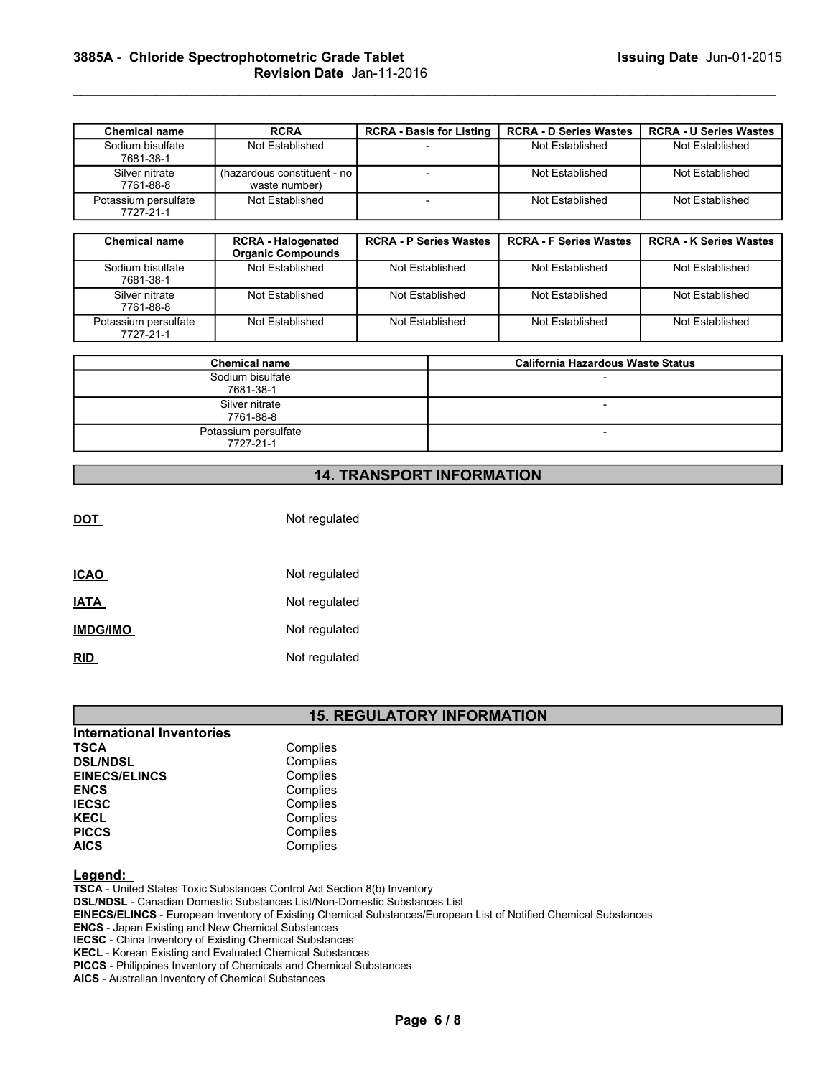|                                          | 3885A - Chloride Spectrophotometric Grade Tablet      |                                 |                                                  | Issuing Date Jun-01-2015                         |
|------------------------------------------|-------------------------------------------------------|---------------------------------|--------------------------------------------------|--------------------------------------------------|
|                                          | Revision Date Jan-11-2016                             |                                 |                                                  |                                                  |
|                                          |                                                       |                                 |                                                  |                                                  |
|                                          |                                                       |                                 |                                                  |                                                  |
| <b>Chemical name</b><br>Sodium bisulfate | <b>RCRA</b><br>Not Established                        | <b>RCRA - Basis for Listing</b> | <b>RCRA - D Series Wastes</b><br>Not Established | <b>RCRA - U Series Wastes</b><br>Not Established |
| 7681-38-1                                |                                                       |                                 |                                                  |                                                  |
| Silver nitrate                           | (hazardous constituent - no                           | $\blacksquare$                  | Not Established                                  | Not Established                                  |
| 7761-88-8                                | waste number)                                         | $\sim$                          |                                                  |                                                  |
| Potassium persulfate<br>7727-21-1        | Not Established                                       |                                 | Not Established                                  | Not Established                                  |
|                                          |                                                       |                                 |                                                  |                                                  |
| <b>Chemical name</b>                     | <b>RCRA - Halogenated</b><br><b>Organic Compounds</b> | <b>RCRA - P Series Wastes</b>   | <b>RCRA - F Series Wastes</b>                    | <b>RCRA - K Series Wastes</b>                    |

|                                   | 3885A - Chloride Spectrophotometric Grade Tablet<br>Revision Date Jan-11-2016 |                                 |                                          | <b>Issuing Date Jun-01-2015</b> |
|-----------------------------------|-------------------------------------------------------------------------------|---------------------------------|------------------------------------------|---------------------------------|
| <b>Chemical name</b>              | <b>RCRA</b>                                                                   | <b>RCRA - Basis for Listing</b> | <b>RCRA - D Series Wastes</b>            | <b>RCRA - U Series Wastes</b>   |
| Sodium bisulfate<br>7681-38-1     | Not Established                                                               |                                 | Not Established                          | Not Established                 |
| Silver nitrate<br>7761-88-8       | (hazardous constituent - no<br>waste number)                                  | $\overline{\phantom{a}}$        | Not Established                          | Not Established                 |
| Potassium persulfate<br>7727-21-1 | Not Established                                                               | $\overline{\phantom{a}}$        | Not Established                          | Not Established                 |
| <b>Chemical name</b>              | <b>RCRA - Halogenated</b><br><b>Organic Compounds</b>                         | <b>RCRA - P Series Wastes</b>   | <b>RCRA - F Series Wastes</b>            | <b>RCRA - K Series Wastes</b>   |
| Sodium bisulfate<br>7681-38-1     | Not Established                                                               | Not Established                 | Not Established                          | Not Established                 |
| Silver nitrate<br>7761-88-8       | Not Established                                                               | Not Established                 | Not Established                          | Not Established                 |
| Potassium persulfate<br>7727-21-1 | Not Established                                                               | Not Established                 | Not Established                          | Not Established                 |
|                                   | <b>Chemical name</b>                                                          |                                 | <b>California Hazardous Waste Status</b> |                                 |
|                                   | Sodium bisulfate<br>7681-38-1                                                 |                                 |                                          |                                 |
|                                   | Silver nitrate<br>7761-88-8                                                   |                                 |                                          |                                 |
|                                   | Potassium persulfate<br>7727-21-1                                             |                                 | $\overline{\phantom{a}}$                 |                                 |

| <b>Chemical name</b>              | <b>California Hazardous Waste Status</b> |
|-----------------------------------|------------------------------------------|
| Sodium bisulfate<br>7681-38-1     |                                          |
| Silver nitrate<br>7761-88-8       |                                          |
| Potassium persulfate<br>7727-21-1 |                                          |

## 14. TRANSPORT INFORMATION

| <u>DOT</u>      | Not regulated |  |
|-----------------|---------------|--|
|                 |               |  |
| <b>ICAO</b>     | Not regulated |  |
| <b>IATA</b>     | Not regulated |  |
| <b>IMDG/IMO</b> | Not regulated |  |
| <u>RID</u>      | Not regulated |  |

## 15. REGULATORY INFORMATION

| <b>International Inventories</b> |          |  |
|----------------------------------|----------|--|
| <b>TSCA</b>                      | Complies |  |
| <b>DSL/NDSL</b>                  | Complies |  |
| <b>EINECS/ELINCS</b>             | Complies |  |
| <b>ENCS</b>                      | Complies |  |
| <b>IECSC</b>                     | Complies |  |
| <b>KECL</b>                      | Complies |  |
| <b>PICCS</b>                     | Complies |  |
| <b>AICS</b>                      | Complies |  |

## Legend:

TSCA - United States Toxic Substances Control Act Section 8(b) Inventory

DSL/NDSL - Canadian Domestic Substances List/Non-Domestic Substances List

EINECS/ELINCS - European Inventory of Existing Chemical Substances/European List of Notified Chemical Substances TORY INFORMATION<br>
Westances List<br>
mances/European List of Notified Chemical Substances<br>
ces<br>
Page 6 / 8<br>
Page 6 / 8

ENCS - Japan Existing and New Chemical Substances

IECSC - China Inventory of Existing Chemical Substances

KECL - Korean Existing and Evaluated Chemical Substances

PICCS - Philippines Inventory of Chemicals and Chemical Substances

AICS - Australian Inventory of Chemical Substances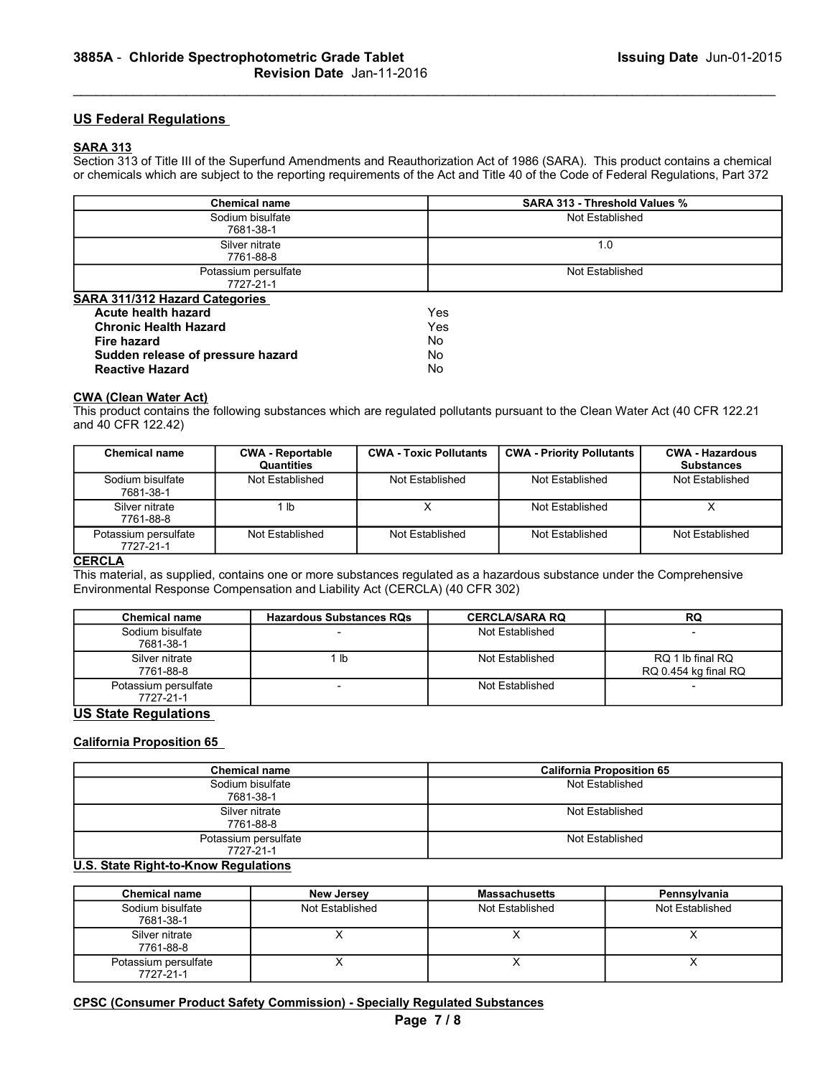## US Federal Regulations

## SARA 313

|                 |                                                             | 3885A - Chloride Spectrophotometric Grade Tablet<br>Revision Date Jan-11-2016 |                               |                                                                                                                        | <b>Issuing Date Jun-01-2015</b>                                                                                                                                                                                                                                    |
|-----------------|-------------------------------------------------------------|-------------------------------------------------------------------------------|-------------------------------|------------------------------------------------------------------------------------------------------------------------|--------------------------------------------------------------------------------------------------------------------------------------------------------------------------------------------------------------------------------------------------------------------|
|                 | <b>US Federal Regulations</b>                               |                                                                               |                               |                                                                                                                        |                                                                                                                                                                                                                                                                    |
| <b>SARA 313</b> |                                                             |                                                                               |                               |                                                                                                                        | Section 313 of Title III of the Superfund Amendments and Reauthorization Act of 1986 (SARA). This product contains a chemical<br>or chemicals which are subject to the reporting requirements of the Act and Title 40 of the Code of Federal Regulations, Part 372 |
|                 |                                                             | <b>Chemical name</b>                                                          |                               | <b>SARA 313 - Threshold Values %</b>                                                                                   |                                                                                                                                                                                                                                                                    |
|                 |                                                             | Sodium bisulfate                                                              |                               | Not Established                                                                                                        |                                                                                                                                                                                                                                                                    |
|                 |                                                             | 7681-38-1<br>Silver nitrate                                                   |                               | 1.0                                                                                                                    |                                                                                                                                                                                                                                                                    |
|                 |                                                             | 7761-88-8                                                                     |                               |                                                                                                                        |                                                                                                                                                                                                                                                                    |
|                 |                                                             | Potassium persulfate                                                          |                               | Not Established                                                                                                        |                                                                                                                                                                                                                                                                    |
|                 | <b>SARA 311/312 Hazard Categories</b>                       | 7727-21-1                                                                     |                               |                                                                                                                        |                                                                                                                                                                                                                                                                    |
|                 | <b>Acute health hazard</b>                                  |                                                                               | Yes                           |                                                                                                                        |                                                                                                                                                                                                                                                                    |
|                 | <b>Chronic Health Hazard</b>                                |                                                                               | Yes                           |                                                                                                                        |                                                                                                                                                                                                                                                                    |
|                 | <b>Fire hazard</b>                                          |                                                                               | No                            |                                                                                                                        |                                                                                                                                                                                                                                                                    |
|                 | Sudden release of pressure hazard<br><b>Reactive Hazard</b> |                                                                               | No.<br>No.                    |                                                                                                                        |                                                                                                                                                                                                                                                                    |
|                 |                                                             |                                                                               |                               |                                                                                                                        |                                                                                                                                                                                                                                                                    |
|                 | <b>CWA (Clean Water Act)</b><br>and 40 CFR 122.42)          |                                                                               |                               |                                                                                                                        | This product contains the following substances which are regulated pollutants pursuant to the Clean Water Act (40 CFR 122.21                                                                                                                                       |
|                 | <b>Chemical name</b>                                        | <b>CWA - Reportable</b><br>Quantities                                         | <b>CWA - Toxic Pollutants</b> | <b>CWA - Priority Pollutants</b>                                                                                       | <b>CWA - Hazardous</b><br><b>Substances</b>                                                                                                                                                                                                                        |
|                 | Sodium bisulfate<br>7681-38-1                               | Not Established                                                               | Not Established               | Not Established                                                                                                        | Not Established                                                                                                                                                                                                                                                    |
|                 | Silver nitrate<br>7761-88-8                                 | 1 <sub>lb</sub>                                                               | $\boldsymbol{\mathsf{X}}$     | Not Established                                                                                                        | $\overline{X}$                                                                                                                                                                                                                                                     |
|                 | Potassium persulfate<br>7727-21-1                           | Not Established                                                               | Not Established               | Not Established                                                                                                        | Not Established                                                                                                                                                                                                                                                    |
| <b>CERCLA</b>   |                                                             | Environmental Response Compensation and Liability Act (CERCLA) (40 CFR 302)   |                               | This material, as supplied, contains one or more substances regulated as a hazardous substance under the Comprehensive |                                                                                                                                                                                                                                                                    |

| <b>Chronic Health Hazard</b>      | Yes |
|-----------------------------------|-----|
| Fire hazard                       | No  |
| Sudden release of pressure hazard | No  |
| <b>Reactive Hazard</b>            | No  |

#### CWA (Clean Water Act)

|                                   | Potassium persulfate<br>7727-21-1                                                                              |                               |                 | Not Established                                                                                                                                 |                                          |  |  |
|-----------------------------------|----------------------------------------------------------------------------------------------------------------|-------------------------------|-----------------|-------------------------------------------------------------------------------------------------------------------------------------------------|------------------------------------------|--|--|
| SARA 311/312 Hazard Categories    |                                                                                                                |                               |                 |                                                                                                                                                 |                                          |  |  |
| <b>Acute health hazard</b>        |                                                                                                                | Yes                           |                 |                                                                                                                                                 |                                          |  |  |
| <b>Chronic Health Hazard</b>      |                                                                                                                | Yes                           |                 |                                                                                                                                                 |                                          |  |  |
| <b>Fire hazard</b>                |                                                                                                                | No                            |                 |                                                                                                                                                 |                                          |  |  |
| Sudden release of pressure hazard |                                                                                                                | No                            |                 |                                                                                                                                                 |                                          |  |  |
| <b>Reactive Hazard</b>            |                                                                                                                | <b>No</b>                     |                 |                                                                                                                                                 |                                          |  |  |
|                                   |                                                                                                                |                               |                 |                                                                                                                                                 |                                          |  |  |
| <b>CWA (Clean Water Act)</b>      |                                                                                                                |                               |                 |                                                                                                                                                 |                                          |  |  |
|                                   |                                                                                                                |                               |                 | This product contains the following substances which are regulated pollutants pursuant to the Clean Water Act (40 CFR 122.21                    |                                          |  |  |
| and 40 CFR 122.42)                |                                                                                                                |                               |                 |                                                                                                                                                 |                                          |  |  |
| <b>Chemical name</b>              | <b>CWA - Reportable</b>                                                                                        | <b>CWA - Toxic Pollutants</b> |                 | <b>CWA - Priority Pollutants</b>                                                                                                                | <b>CWA - Hazardous</b>                   |  |  |
|                                   | Quantities                                                                                                     |                               |                 |                                                                                                                                                 | <b>Substances</b>                        |  |  |
| Sodium bisulfate<br>7681-38-1     | Not Established                                                                                                | Not Established               |                 | Not Established                                                                                                                                 | Not Established                          |  |  |
| Silver nitrate<br>7761-88-8       | 1 <sub>lb</sub>                                                                                                | $\mathsf{X}$                  |                 | Not Established                                                                                                                                 | $\times$                                 |  |  |
| Potassium persulfate<br>7727-21-1 | Not Established                                                                                                | Not Established               |                 | Not Established                                                                                                                                 | Not Established                          |  |  |
| <b>Chemical name</b>              | Environmental Response Compensation and Liability Act (CERCLA) (40 CFR 302)<br><b>Hazardous Substances RQs</b> |                               |                 | This material, as supplied, contains one or more substances regulated as a hazardous substance under the Comprehensive<br><b>CERCLA/SARA RQ</b> | RQ                                       |  |  |
| Sodium bisulfate                  |                                                                                                                |                               |                 | Not Established                                                                                                                                 |                                          |  |  |
| 7681-38-1                         |                                                                                                                |                               |                 |                                                                                                                                                 |                                          |  |  |
| Silver nitrate<br>7761-88-8       | 1 <sub>lb</sub>                                                                                                |                               |                 | Not Established                                                                                                                                 | RQ 1 lb final RQ<br>RQ 0.454 kg final RQ |  |  |
| Potassium persulfate<br>7727-21-1 | $\blacksquare$                                                                                                 |                               | Not Established |                                                                                                                                                 |                                          |  |  |
| <b>US State Regulations</b>       |                                                                                                                |                               |                 |                                                                                                                                                 |                                          |  |  |
|                                   |                                                                                                                |                               |                 |                                                                                                                                                 |                                          |  |  |
| <b>California Proposition 65</b>  |                                                                                                                |                               |                 |                                                                                                                                                 |                                          |  |  |
|                                   | <b>Chemical name</b>                                                                                           |                               |                 | <b>California Proposition 65</b>                                                                                                                |                                          |  |  |
|                                   | Sodium bisulfate                                                                                               |                               |                 | Not Established                                                                                                                                 |                                          |  |  |
|                                   | 7681-38-1                                                                                                      |                               |                 |                                                                                                                                                 |                                          |  |  |
|                                   | Silver nitrate                                                                                                 |                               |                 | Not Established                                                                                                                                 |                                          |  |  |
|                                   | 7761-88-8                                                                                                      |                               |                 |                                                                                                                                                 |                                          |  |  |
|                                   | Potassium persulfate                                                                                           |                               |                 | Not Established                                                                                                                                 |                                          |  |  |
|                                   | 7727-21-1                                                                                                      |                               |                 |                                                                                                                                                 |                                          |  |  |

#### <u>CERCLA</u>

| , etabolari poroaliato<br>7727-21-1         |                                                                                   |          |                       |                                                                                                                        |
|---------------------------------------------|-----------------------------------------------------------------------------------|----------|-----------------------|------------------------------------------------------------------------------------------------------------------------|
| <b>CERCLA</b>                               |                                                                                   |          |                       |                                                                                                                        |
|                                             |                                                                                   |          |                       | This material, as supplied, contains one or more substances regulated as a hazardous substance under the Comprehensive |
|                                             | Environmental Response Compensation and Liability Act (CERCLA) (40 CFR 302)       |          |                       |                                                                                                                        |
| <b>Chemical name</b>                        | <b>Hazardous Substances RQs</b>                                                   |          | <b>CERCLA/SARA RQ</b> | ${\sf RQ}$                                                                                                             |
| Sodium bisulfate<br>7681-38-1               |                                                                                   |          | Not Established       |                                                                                                                        |
| Silver nitrate<br>7761-88-8                 | 1 <sub>lb</sub>                                                                   |          | Not Established       | RQ 1 lb final RQ<br>RQ 0.454 kg final RQ                                                                               |
| Potassium persulfate<br>7727-21-1           | $\overline{a}$                                                                    |          | Not Established       |                                                                                                                        |
| <b>US State Regulations</b>                 |                                                                                   |          |                       |                                                                                                                        |
|                                             |                                                                                   |          |                       |                                                                                                                        |
| <b>California Proposition 65</b>            |                                                                                   |          |                       |                                                                                                                        |
|                                             | <b>Chemical name</b>                                                              |          |                       | <b>California Proposition 65</b>                                                                                       |
|                                             | Sodium bisulfate                                                                  |          |                       | Not Established                                                                                                        |
|                                             | 7681-38-1                                                                         |          |                       |                                                                                                                        |
|                                             | Silver nitrate<br>7761-88-8                                                       |          |                       | Not Established                                                                                                        |
|                                             | Potassium persulfate                                                              |          |                       | Not Established                                                                                                        |
|                                             | 7727-21-1                                                                         |          |                       |                                                                                                                        |
| <b>U.S. State Right-to-Know Regulations</b> |                                                                                   |          |                       |                                                                                                                        |
| <b>Chemical name</b>                        | <b>New Jersey</b>                                                                 |          | <b>Massachusetts</b>  | Pennsylvania                                                                                                           |
| Sodium bisulfate<br>7681-38-1               | Not Established                                                                   |          | Not Established       | Not Established                                                                                                        |
| Silver nitrate<br>7761-88-8                 | $\times$                                                                          |          | $\times$              | $\boldsymbol{\mathsf{X}}$                                                                                              |
| Potassium persulfate<br>7727-21-1           | X                                                                                 |          | $\times$              | X                                                                                                                      |
|                                             |                                                                                   |          |                       |                                                                                                                        |
|                                             | <b>CPSC (Consumer Product Safety Commission) - Specially Regulated Substances</b> |          |                       |                                                                                                                        |
|                                             |                                                                                   | Page 7/8 |                       |                                                                                                                        |
|                                             |                                                                                   |          |                       |                                                                                                                        |
|                                             |                                                                                   |          |                       |                                                                                                                        |

## US State Regulations

## California Proposition 65

| RQ 0.454 kg final RQ<br>Potassium persulfate<br>Not Established<br>$\overline{\phantom{a}}$<br>7727-21-1<br><b>US State Regulations</b><br><b>California Proposition 65</b><br><b>Chemical name</b><br><b>California Proposition 65</b><br>Sodium bisulfate<br>Not Established<br>7681-38-1 |
|---------------------------------------------------------------------------------------------------------------------------------------------------------------------------------------------------------------------------------------------------------------------------------------------|
|                                                                                                                                                                                                                                                                                             |
|                                                                                                                                                                                                                                                                                             |
|                                                                                                                                                                                                                                                                                             |
|                                                                                                                                                                                                                                                                                             |
|                                                                                                                                                                                                                                                                                             |
| Silver nitrate<br>Not Established<br>7761-88-8                                                                                                                                                                                                                                              |
| Potassium persulfate<br>Not Established<br>7727-21-1                                                                                                                                                                                                                                        |
| <b>U.S. State Right-to-Know Regulations</b>                                                                                                                                                                                                                                                 |
| <b>Chemical name</b><br><b>Massachusetts</b><br><b>New Jersey</b><br>Pennsylvania                                                                                                                                                                                                           |
| Sodium bisulfate<br>Not Established<br>Not Established<br>Not Established<br>7681-38-1                                                                                                                                                                                                      |
| X<br>X<br>Silver nitrate<br>X<br>7761-88-8                                                                                                                                                                                                                                                  |
| $\sf X$<br>$\times$<br>X<br>Potassium persulfate<br>7727-21-1                                                                                                                                                                                                                               |

## U.S. State Right-to-Know Regulations

| <b>Chemical name</b>              | <b>New Jersey</b> | <b>Massachusetts</b> | Pennsylvania    |
|-----------------------------------|-------------------|----------------------|-----------------|
| Sodium bisulfate<br>7681-38-1     | Not Established   | Not Established      | Not Established |
| Silver nitrate<br>7761-88-8       |                   |                      |                 |
| Potassium persulfate<br>7727-21-1 |                   |                      |                 |